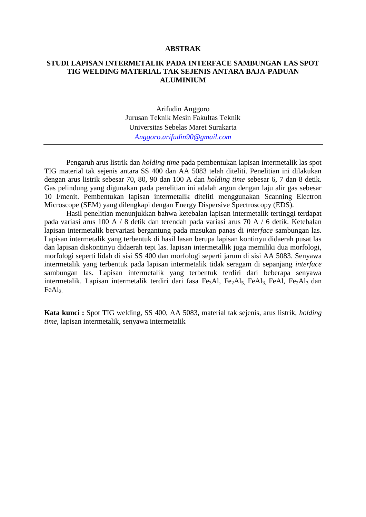## **ABSTRAK**

## **STUDI LAPISAN INTERMETALIK PADA INTERFACE SAMBUNGAN LAS SPOT TIG WELDING MATERIAL TAK SEJENIS ANTARA BAJA-PADUAN ALUMINIUM**

Arifudin Anggoro Jurusan Teknik Mesin Fakultas Teknik Universitas Sebelas Maret Surakarta *[Anggoro.arifudin90@gmail.com](mailto:Anggoro.arifudin90@gmail.com)*

Pengaruh arus listrik dan *holding time* pada pembentukan lapisan intermetalik las spot TIG material tak sejenis antara SS 400 dan AA 5083 telah diteliti. Penelitian ini dilakukan dengan arus listrik sebesar 70, 80, 90 dan 100 A dan *holding time* sebesar 6, 7 dan 8 detik. Gas pelindung yang digunakan pada penelitian ini adalah argon dengan laju alir gas sebesar 10 l/menit. Pembentukan lapisan intermetalik diteliti menggunakan Scanning Electron Microscope (SEM) yang dilengkapi dengan Energy Dispersive Spectroscopy (EDS).

Hasil penelitian menunjukkan bahwa ketebalan lapisan intermetalik tertinggi terdapat pada variasi arus 100 A / 8 detik dan terendah pada variasi arus 70 A / 6 detik. Ketebalan lapisan intermetalik bervariasi bergantung pada masukan panas di *interface* sambungan las. Lapisan intermetalik yang terbentuk di hasil lasan berupa lapisan kontinyu didaerah pusat las dan lapisan diskontinyu didaerah tepi las. lapisan intermetallik juga memiliki dua morfologi, morfologi seperti lidah di sisi SS 400 dan morfologi seperti jarum di sisi AA 5083. Senyawa intermetalik yang terbentuk pada lapisan intermetalik tidak seragam di sepanjang *interface* sambungan las. Lapisan intermetalik yang terbentuk terdiri dari beberapa senyawa intermetalik. Lapisan intermetalik terdiri dari fasa Fe<sub>3</sub>Al, Fe<sub>2</sub>Al<sub>5,</sub> FeAl<sub>3</sub>, FeAl, Fe<sub>2</sub>Al<sub>3</sub> dan  $FeAl<sub>2</sub>$ 

**Kata kunci :** Spot TIG welding, SS 400, AA 5083, material tak sejenis, arus listrik, *holding time*, lapisan intermetalik, senyawa intermetalik